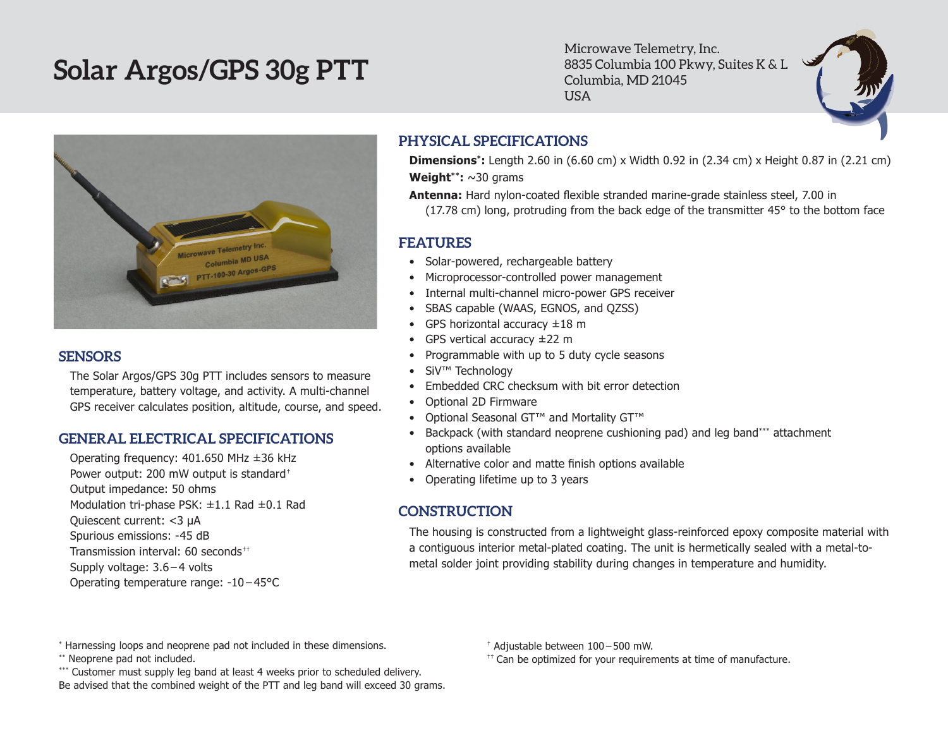# **Solar Argos/GPS 30g PTT**

Microwave Telemetry, Inc. 8835 Columbia 100 Pkwy, Suites K & L Columbia, MD 21045 USA



### **SENSORS**

The Solar Argos/GPS 30g PTT includes sensors to measure temperature, battery voltage, and activity. A multi-channel GPS receiver calculates position, altitude, course, and speed.

### **GENERAL ELECTRICAL SPECIFICATIONS**

Operating frequency: 401.650 MHz ±36 kHz Power output: 200 mW output is standard† Output impedance: 50 ohms Modulation tri-phase PSK: ±1.1 Rad ±0.1 Rad Quiescent current: <3 µA Spurious emissions: -45 dB Transmission interval: 60 seconds†† Supply voltage: 3.6 – 4 volts Operating temperature range: -10 – 45°C

## **PHYSICAL SPECIFICATIONS**

**Dimensions\*:** Length 2.60 in (6.60 cm) x Width 0.92 in (2.34 cm) x Height 0.87 in (2.21 cm) **Weight\*\*:** ~30 grams

**Antenna:** Hard nylon-coated flexible stranded marine-grade stainless steel, 7.00 in (17.78 cm) long, protruding from the back edge of the transmitter 45° to the bottom face

## **FEATURES**

- Solar-powered, rechargeable battery
- Microprocessor-controlled power management
- Internal multi-channel micro-power GPS receiver
- • SBAS capable (WAAS, EGNOS, and QZSS)
- GPS horizontal accuracy  $\pm 18$  m
- GPS vertical accuracy  $\pm 22$  m
- • Programmable with up to 5 duty cycle seasons
- • SiV™ Technology
- Embedded CRC checksum with bit error detection
- • Optional 2D Firmware
- • Optional Seasonal GT™ and Mortality GT™
- Backpack (with standard neoprene cushioning pad) and leg band\*\*\* attachment options available
- Alternative color and matte finish options available
- Operating lifetime up to 3 years

## **CONSTRUCTION**

The housing is constructed from a lightweight glass-reinforced epoxy composite material with a contiguous interior metal-plated coating. The unit is hermetically sealed with a metal-tometal solder joint providing stability during changes in temperature and humidity.

\* Harnessing loops and neoprene pad not included in these dimensions.

\*\* Neoprene pad not included.

\*\*\* Customer must supply leg band at least 4 weeks prior to scheduled delivery. Be advised that the combined weight of the PTT and leg band will exceed 30 grams. † Adjustable between 100 – 500 mW.

 $<sup>††</sup>$  Can be optimized for your requirements at time of manufacture.</sup>